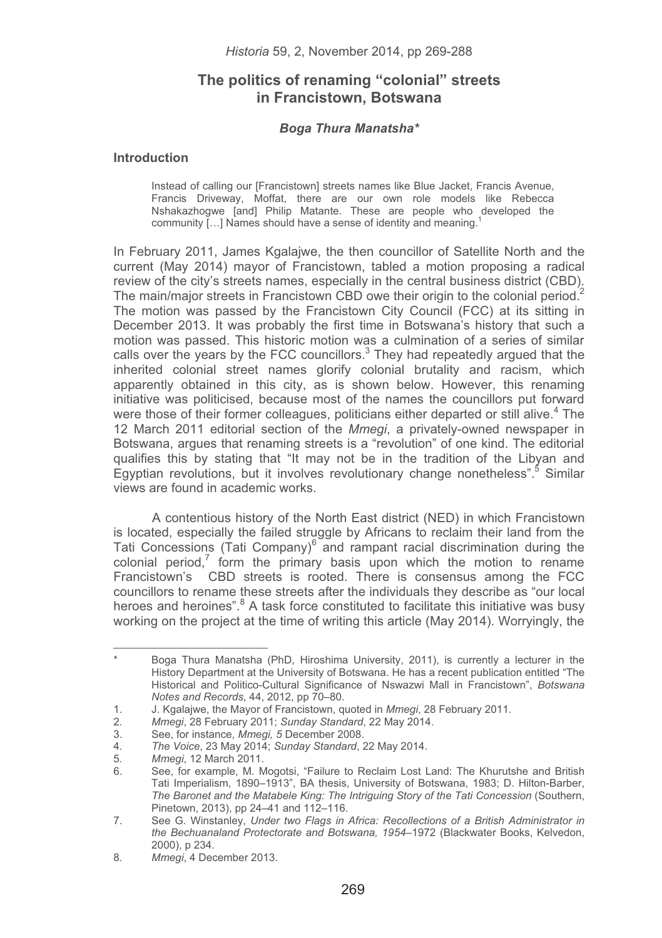# **The politics of renaming "colonial" streets in Francistown, Botswana**

#### Boga Thura Manatsha\* *Boga Thura Manatsha\**

#### **Introduction**

Instead of calling our [Francistown] streets names like Blue Jacket, Francis Avenue, Francis Driveway, Moffat, there are our own role models like Rebecca Nshakazhogwe [and] Philip Matante. These are people who developed the community [...] Names should have a sense of identity and meaning.<sup>1</sup>

In February 2011, James Kgalajwe, the then councillor of Satellite North and the current (May 2014) mayor of Francistown, tabled a motion proposing a radical review of the city's streets names, especially in the central business district (CBD). The main/major streets in Francistown CBD owe their origin to the colonial period.<sup>2</sup> The motion was passed by the Francistown City Council (FCC) at its sitting in December 2013. It was probably the first time in Botswana's history that such a motion was passed. This historic motion was a culmination of a series of similar calls over the years by the FCC councillors. $3$  They had repeatedly argued that the inherited colonial street names glorify colonial brutality and racism, which apparently obtained in this city, as is shown below. However, this renaming initiative was politicised, because most of the names the councillors put forward were those of their former colleagues, politicians either departed or still alive.<sup>4</sup> The 12 March 2011 editorial section of the *Mmegi*, a privately-owned newspaper in Botswana, argues that renaming streets is a "revolution" of one kind. The editorial qualifies this by stating that "It may not be in the tradition of the Libyan and Egyptian revolutions, but it involves revolutionary change nonetheless".<sup>5</sup> Similar views are found in academic works.

A contentious history of the North East district (NED) in which Francistown is located, especially the failed struggle by Africans to reclaim their land from the Tati Concessions (Tati Company)<sup>6</sup> and rampant racial discrimination during the colonial period, $<sup>7</sup>$  form the primary basis upon which the motion to rename</sup> Francistown's CBD streets is rooted. There is consensus among the FCC councillors to rename these streets after the individuals they describe as "our local heroes and heroines".<sup>8</sup> A task force constituted to facilitate this initiative was busy working on the project at the time of writing this article (May 2014). Worryingly, the

Boga Thura Manatsha (PhD, Hiroshima University, 2011), is currently a lecturer in the History Department at the University of Botswana. He has a recent publication entitled "The Historical and Politico-Cultural Significance of Nswazwi Mall in Francistown", *Botswana Notes and Records*, 44, 2012, pp 70–80.

<sup>1.</sup> J. Kgalajwe, the Mayor of Francistown, quoted in *Mmegi*, 28 February 2011.

<sup>2</sup>*. Mmegi*, 28 February 2011; *Sunday Standard*, 22 May 2014.

<sup>3.</sup> See, for instance, *Mmegi, 5* December 2008.

<sup>4</sup>*. The Voice*, 23 May 2014; *Sunday Standard*, 22 May 2014.

<sup>5</sup>*. Mmegi*, 12 March 2011.

<sup>6.</sup> See, for example, M. Mogotsi, "Failure to Reclaim Lost Land: The Khurutshe and British Tati Imperialism, 1890–1913", BA thesis, University of Botswana, 1983; D. Hilton-Barber, *The Baronet and the Matabele King: The Intriguing Story of the Tati Concession* (Southern, Pinetown, 2013), pp 24–41 and 112–116.

<sup>7.</sup> See G. Winstanley, *Under two Flags in Africa: Recollections of a British Administrator in the Bechuanaland Protectorate and Botswana, 1954–*1972 (Blackwater Books, Kelvedon, 2000), p 234.

<sup>8</sup>*. Mmegi*, 4 December 2013.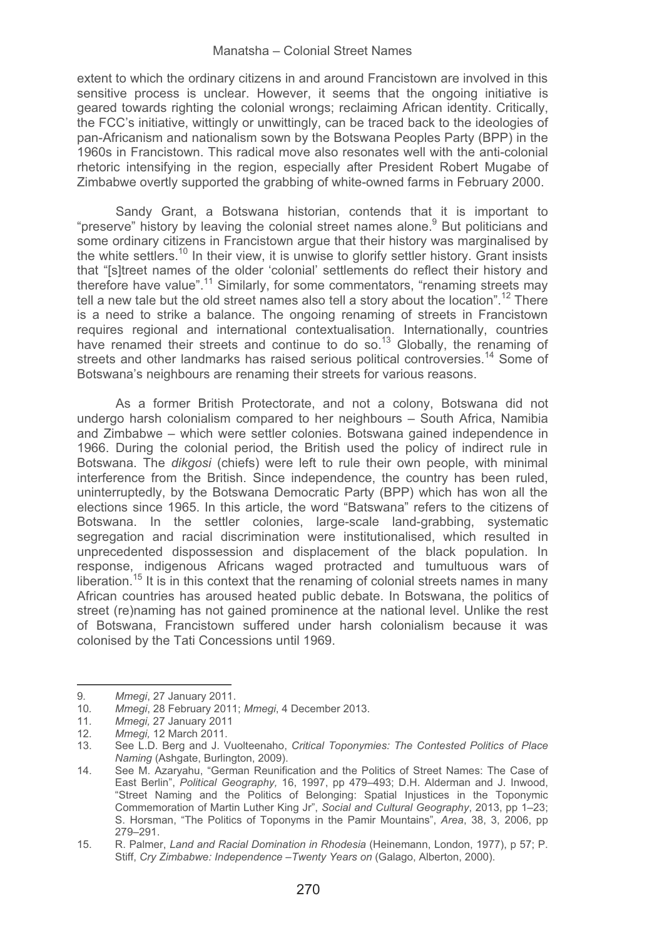extent to which the ordinary citizens in and around Francistown are involved in this sensitive process is unclear. However, it seems that the ongoing initiative is geared towards righting the colonial wrongs; reclaiming African identity. Critically, the FCC's initiative, wittingly or unwittingly, can be traced back to the ideologies of pan-Africanism and nationalism sown by the Botswana Peoples Party (BPP) in the 1960s in Francistown. This radical move also resonates well with the anti-colonial rhetoric intensifying in the region, especially after President Robert Mugabe of Zimbabwe overtly supported the grabbing of white-owned farms in February 2000.

Sandy Grant, a Botswana historian, contends that it is important to "preserve" history by leaving the colonial street names alone.<sup>9</sup> But politicians and some ordinary citizens in Francistown argue that their history was marginalised by the white settlers.<sup>10</sup> In their view, it is unwise to glorify settler history. Grant insists that "[s]treet names of the older 'colonial' settlements do reflect their history and therefore have value".11 Similarly, for some commentators, "renaming streets may tell a new tale but the old street names also tell a story about the location".<sup>12</sup> There is a need to strike a balance. The ongoing renaming of streets in Francistown requires regional and international contextualisation. Internationally, countries have renamed their streets and continue to do so.<sup>13</sup> Globally, the renaming of streets and other landmarks has raised serious political controversies.<sup>14</sup> Some of Botswana's neighbours are renaming their streets for various reasons.

As a former British Protectorate, and not a colony, Botswana did not undergo harsh colonialism compared to her neighbours – South Africa, Namibia and Zimbabwe – which were settler colonies. Botswana gained independence in 1966. During the colonial period, the British used the policy of indirect rule in Botswana. The *dikgosi* (chiefs) were left to rule their own people, with minimal interference from the British. Since independence, the country has been ruled, uninterruptedly, by the Botswana Democratic Party (BPP) which has won all the elections since 1965. In this article, the word "Batswana" refers to the citizens of Botswana. In the settler colonies, large-scale land-grabbing, systematic segregation and racial discrimination were institutionalised, which resulted in unprecedented dispossession and displacement of the black population. In response, indigenous Africans waged protracted and tumultuous wars of liberation.<sup>15</sup> It is in this context that the renaming of colonial streets names in many African countries has aroused heated public debate. In Botswana, the politics of street (re)naming has not gained prominence at the national level. Unlike the rest of Botswana, Francistown suffered under harsh colonialism because it was colonised by the Tati Concessions until 1969.

-------------------

--------------------------

<sup>-</sup>--------9*. Mmegi*, 27 January 2011.

<sup>-</sup>----10*. Mmegi*, 28 February 2011; *Mmegi*, 4 December 2013.

<sup>11</sup>*. Mmegi,* 27 January 2011

<sup>12</sup>*. Mmegi,* 12 March 2011.

<sup>13.</sup> See L.D. Berg and J. Vuolteenaho, *Critical Toponymies: The Contested Politics of Place Naming* (Ashgate, Burlington, 2009).

<sup>14.</sup> See M. Azaryahu, "German Reunification and the Politics of Street Names: The Case of East Berlin", *Political Geography,* 16, 1997, pp 479–493; D.H. Alderman and J. Inwood, "Street Naming and the Politics of Belonging: Spatial Injustices in the Toponymic Commemoration of Martin Luther King Jr", *Social and Cultural Geography*, 2013, pp 1–23; S. Horsman, "The Politics of Toponyms in the Pamir Mountains", *Area*, 38, 3, 2006, pp 279–291.

<sup>15.</sup> R. Palmer, *Land and Racial Domination in Rhodesia* (Heinemann, London, 1977), p 57; P. Stiff, *Cry Zimbabwe: Independence* –*Twenty Years on* (Galago, Alberton, 2000).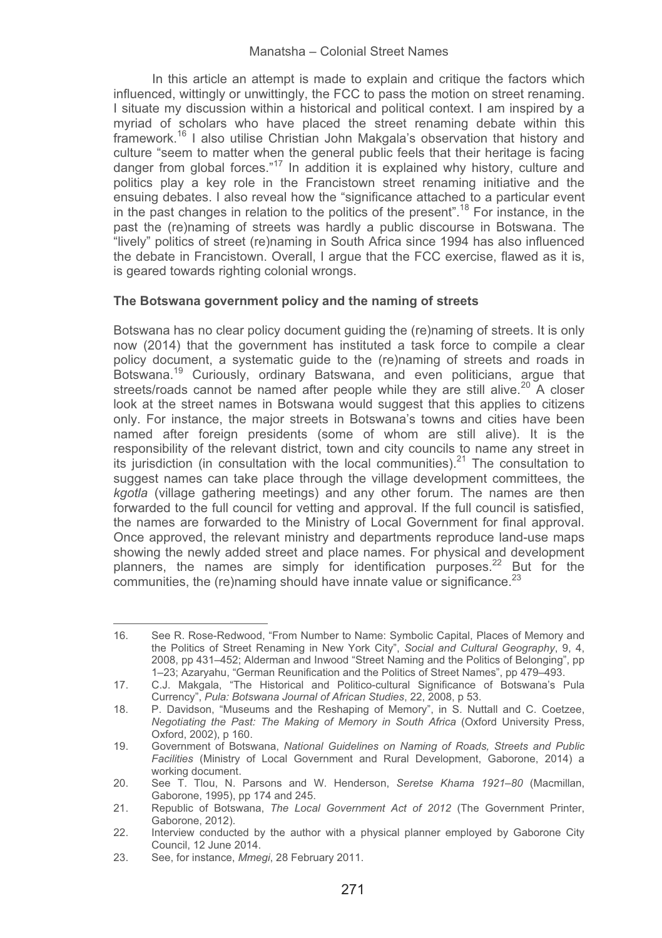In this article an attempt is made to explain and critique the factors which influenced, wittingly or unwittingly, the FCC to pass the motion on street renaming. I situate my discussion within a historical and political context. I am inspired by a myriad of scholars who have placed the street renaming debate within this framework.16 I also utilise Christian John Makgala's observation that history and culture "seem to matter when the general public feels that their heritage is facing danger from global forces."<sup>17</sup> In addition it is explained why history, culture and politics play a key role in the Francistown street renaming initiative and the ensuing debates. I also reveal how the "significance attached to a particular event in the past changes in relation to the politics of the present".<sup>18</sup> For instance, in the past the (re)naming of streets was hardly a public discourse in Botswana. The "lively" politics of street (re)naming in South Africa since 1994 has also influenced the debate in Francistown. Overall, I argue that the FCC exercise, flawed as it is, is geared towards righting colonial wrongs.

# **The Botswana government policy and the naming of streets**

Botswana has no clear policy document guiding the (re)naming of streets. It is only now (2014) that the government has instituted a task force to compile a clear policy document, a systematic guide to the (re)naming of streets and roads in Botswana.19 Curiously, ordinary Batswana, and even politicians, argue that streets/roads cannot be named after people while they are still alive.<sup>20</sup> A closer look at the street names in Botswana would suggest that this applies to citizens only. For instance, the major streets in Botswana's towns and cities have been named after foreign presidents (some of whom are still alive). It is the responsibility of the relevant district, town and city councils to name any street in its jurisdiction (in consultation with the local communities). $^{21}$  The consultation to suggest names can take place through the village development committees, the *kgotla* (village gathering meetings) and any other forum. The names are then forwarded to the full council for vetting and approval. If the full council is satisfied, the names are forwarded to the Ministry of Local Government for final approval. Once approved, the relevant ministry and departments reproduce land-use maps showing the newly added street and place names. For physical and development planners, the names are simply for identification purposes.<sup>22</sup> But for the communities, the (re)naming should have innate value or significance  $^{23}$ 

<sup>16.</sup> See R. Rose-Redwood, "From Number to Name: Symbolic Capital, Places of Memory and the Politics of Street Renaming in New York City", *Social and Cultural Geography*, 9, 4, 2008, pp 431–452; Alderman and Inwood "Street Naming and the Politics of Belonging", pp 1–23; Azaryahu, "German Reunification and the Politics of Street Names", pp 479–493.

<sup>17.</sup> C.J. Makgala, "The Historical and Politico-cultural Significance of Botswana's Pula Currency", *Pula: Botswana Journal of African Studies*, 22, 2008, p 53.

<sup>18.</sup> P. Davidson, "Museums and the Reshaping of Memory", in S. Nuttall and C. Coetzee, *Negotiating the Past: The Making of Memory in South Africa* (Oxford University Press, Oxford, 2002), p 160.

<sup>19.</sup> Government of Botswana, *National Guidelines on Naming of Roads, Streets and Public Facilities* (Ministry of Local Government and Rural Development, Gaborone, 2014) a working document.

<sup>20.</sup> See T. Tlou, N. Parsons and W. Henderson, *Seretse Khama 1921*–*80* (Macmillan, Gaborone, 1995), pp 174 and 245.

<sup>21.</sup> Republic of Botswana, *The Local Government Act of 2012* (The Government Printer, Gaborone, 2012).

<sup>22.</sup> Interview conducted by the author with a physical planner employed by Gaborone City Council, 12 June 2014.

<sup>23.</sup> See, for instance, *Mmegi*, 28 February 2011.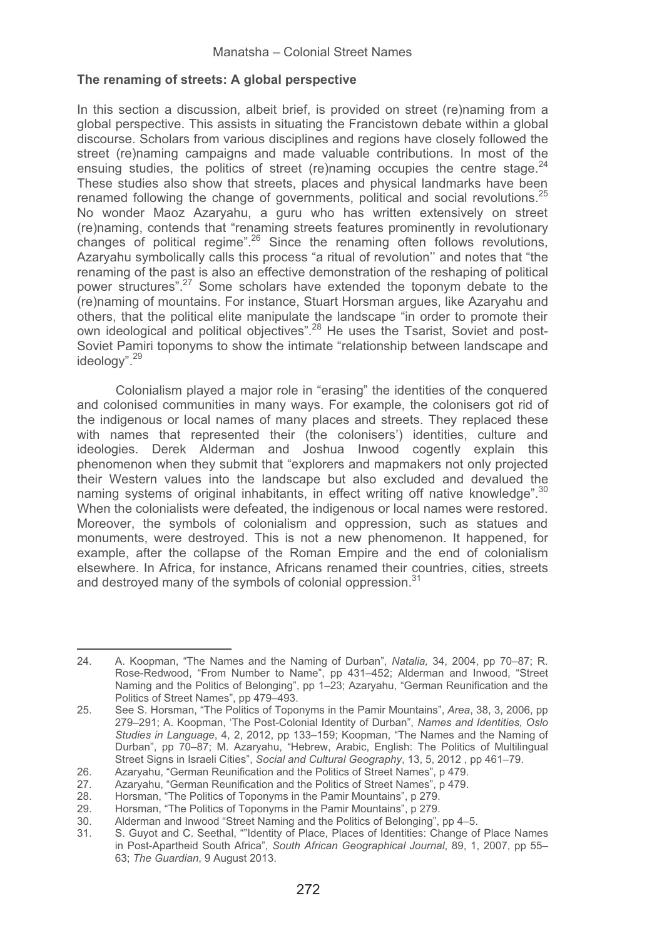### **The renaming of streets: A global perspective**

In this section a discussion, albeit brief, is provided on street (re)naming from a global perspective. This assists in situating the Francistown debate within a global discourse. Scholars from various disciplines and regions have closely followed the street (re)naming campaigns and made valuable contributions. In most of the ensuing studies, the politics of street (re)naming occupies the centre stage.  $24$ These studies also show that streets, places and physical landmarks have been renamed following the change of governments, political and social revolutions.<sup>25</sup> No wonder Maoz Azaryahu, a guru who has written extensively on street (re)naming, contends that "renaming streets features prominently in revolutionary changes of political regime".<sup>26</sup> Since the renaming often follows revolutions, Azaryahu symbolically calls this process "a ritual of revolution'' and notes that "the renaming of the past is also an effective demonstration of the reshaping of political power structures".27 Some scholars have extended the toponym debate to the (re)naming of mountains. For instance, Stuart Horsman argues, like Azaryahu and others, that the political elite manipulate the landscape "in order to promote their own ideological and political objectives".<sup>28</sup> He uses the Tsarist, Soviet and post-Soviet Pamiri toponyms to show the intimate "relationship between landscape and ideology".<sup>29</sup>

Colonialism played a major role in "erasing" the identities of the conquered and colonised communities in many ways. For example, the colonisers got rid of the indigenous or local names of many places and streets. They replaced these with names that represented their (the colonisers') identities, culture and ideologies. Derek Alderman and Joshua Inwood cogently explain this phenomenon when they submit that "explorers and mapmakers not only projected their Western values into the landscape but also excluded and devalued the naming systems of original inhabitants, in effect writing off native knowledge".<sup>30</sup> When the colonialists were defeated, the indigenous or local names were restored. Moreover, the symbols of colonialism and oppression, such as statues and monuments, were destroyed. This is not a new phenomenon. It happened, for example, after the collapse of the Roman Empire and the end of colonialism elsewhere. In Africa, for instance, Africans renamed their countries, cities, streets and destroyed many of the symbols of colonial oppression.<sup>31</sup>

<sup>24.</sup> A. Koopman, "The Names and the Naming of Durban", *Natalia,* 34, 2004, pp 70–87; R. Rose-Redwood, "From Number to Name", pp 431–452; Alderman and Inwood, "Street Naming and the Politics of Belonging", pp 1–23; Azaryahu, "German Reunification and the Politics of Street Names", pp 479–493.

<sup>25.</sup> See S. Horsman, "The Politics of Toponyms in the Pamir Mountains", *Area*, 38, 3, 2006, pp 279–291; A. Koopman, 'The Post-Colonial Identity of Durban", *Names and Identities, Oslo Studies in Language*, 4, 2, 2012, pp 133–159; Koopman, "The Names and the Naming of Durban", pp 70–87; M. Azaryahu, "Hebrew, Arabic, English: The Politics of Multilingual Street Signs in Israeli Cities", *Social and Cultural Geography*, 13, 5, 2012 , pp 461–79.

<sup>26.</sup> Azaryahu, "German Reunification and the Politics of Street Names", p 479.

<sup>27.</sup> Azaryahu, "German Reunification and the Politics of Street Names", p 479.<br>28. Horsman "The Politics of Toponyms in the Pamir Mountains" p 279.

<sup>28.</sup> Horsman, "The Politics of Toponyms in the Pamir Mountains", p 279.<br>29. Horsman, "The Politics of Toponyms in the Pamir Mountains", p 279.

<sup>29.</sup> Horsman, "The Politics of Toponyms in the Pamir Mountains", p 279.<br>30. Alderman and Inwood "Street Naming and the Politics of Belonging".

<sup>30.</sup> Alderman and Inwood "Street Naming and the Politics of Belonging", pp 4–5.

<sup>31.</sup> S. Guyot and C. Seethal, ""Identity of Place, Places of Identities: Change of Place Names in Post-Apartheid South Africa", *South African Geographical Journal*, 89, 1, 2007, pp 55– 63; *The Guardian*, 9 August 2013.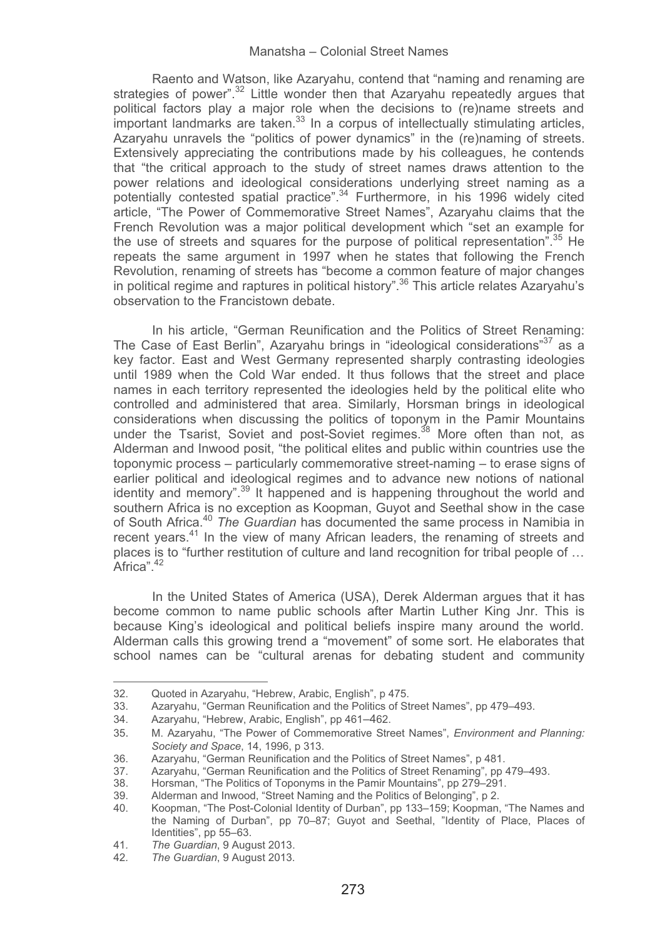Raento and Watson, like Azaryahu, contend that "naming and renaming are strategies of power".<sup>32</sup> Little wonder then that Azaryahu repeatedly argues that political factors play a major role when the decisions to (re)name streets and  $\frac{1}{2}$  important landmarks are taken.<sup>33</sup> In a corpus of intellectually stimulating articles, Azaryahu unravels the "politics of power dynamics" in the (re)naming of streets. Extensively appreciating the contributions made by his colleagues, he contends that "the critical approach to the study of street names draws attention to the power relations and ideological considerations underlying street naming as a potentially contested spatial practice".34 Furthermore, in his 1996 widely cited article, "The Power of Commemorative Street Names", Azaryahu claims that the French Revolution was a major political development which "set an example for the use of streets and squares for the purpose of political representation".<sup>35</sup> He repeats the same argument in 1997 when he states that following the French Revolution, renaming of streets has "become a common feature of major changes in political regime and raptures in political history".<sup>36</sup> This article relates Azaryahu's observation to the Francistown debate.

In his article, "German Reunification and the Politics of Street Renaming: The Case of East Berlin", Azaryahu brings in "ideological considerations"<sup>37</sup> as a key factor. East and West Germany represented sharply contrasting ideologies until 1989 when the Cold War ended. It thus follows that the street and place names in each territory represented the ideologies held by the political elite who controlled and administered that area. Similarly, Horsman brings in ideological considerations when discussing the politics of toponym in the Pamir Mountains under the Tsarist, Soviet and post-Soviet regimes.<sup>38</sup> More often than not. as Alderman and Inwood posit, "the political elites and public within countries use the toponymic process – particularly commemorative street-naming – to erase signs of earlier political and ideological regimes and to advance new notions of national identity and memory".<sup>39</sup> It happened and is happening throughout the world and southern Africa is no exception as Koopman, Guyot and Seethal show in the case of South Africa.40 *The Guardian* has documented the same process in Namibia in recent years.<sup>41</sup> In the view of many African leaders, the renaming of streets and places is to "further restitution of culture and land recognition for tribal people of … Africa".<sup>42</sup>

In the United States of America (USA), Derek Alderman argues that it has become common to name public schools after Martin Luther King Jnr. This is because King's ideological and political beliefs inspire many around the world. Alderman calls this growing trend a "movement" of some sort. He elaborates that school names can be "cultural arenas for debating student and community

<sup>-</sup>------32. Quoted in Azaryahu, "Hebrew, Arabic, English", p 475.

<sup>33.</sup> Azaryahu, "German Reunification and the Politics of Street Names", pp 479–493.<br>34. Azaryahu, "Hebrew Arabic, English", pp 461–462.

<sup>34.</sup> Azaryahu, "Hebrew, Arabic, English", pp 461–462.

<sup>35</sup>.- M. Azaryahu, "The Power of Commemorative Street Names", *Environment and Planning: Society and Space*, 14, 1996, p 313.

<sup>36.</sup> Azaryahu, "German Reunification and the Politics of Street Names", p 481.<br>37 Azaryahu. "German Reunification and the Politics of Street Renaming", pp 4

<sup>37.</sup> Azaryahu, "German Reunification and the Politics of Street Renaming", pp 479–493.<br>38. Horsman "The Politics of Toponyms in the Pamir Mountains", pp 279–291.

<sup>38.</sup> Horsman, "The Politics of Toponyms in the Pamir Mountains", pp 279–291.<br>39. Alderman and Inwood. "Street Naming and the Politics of Belonging", p.2.

<sup>39.</sup> Alderman and Inwood, "Street Naming and the Politics of Belonging", p 2.<br>40. Koopman, "The Post-Colonial Identity of Durban", pp. 133–159; Koopman

<sup>40.</sup> Koopman, "The Post-Colonial Identity of Durban", pp 133–159; Koopman, "The Names and the Naming of Durban", pp 70–87; Guyot and Seethal, "Identity of Place, Places of Identities", pp 55-63.

<sup>41</sup>*. The Guardian*, 9 August 2013.

<sup>42</sup>*. The Guardian*, 9 August 2013.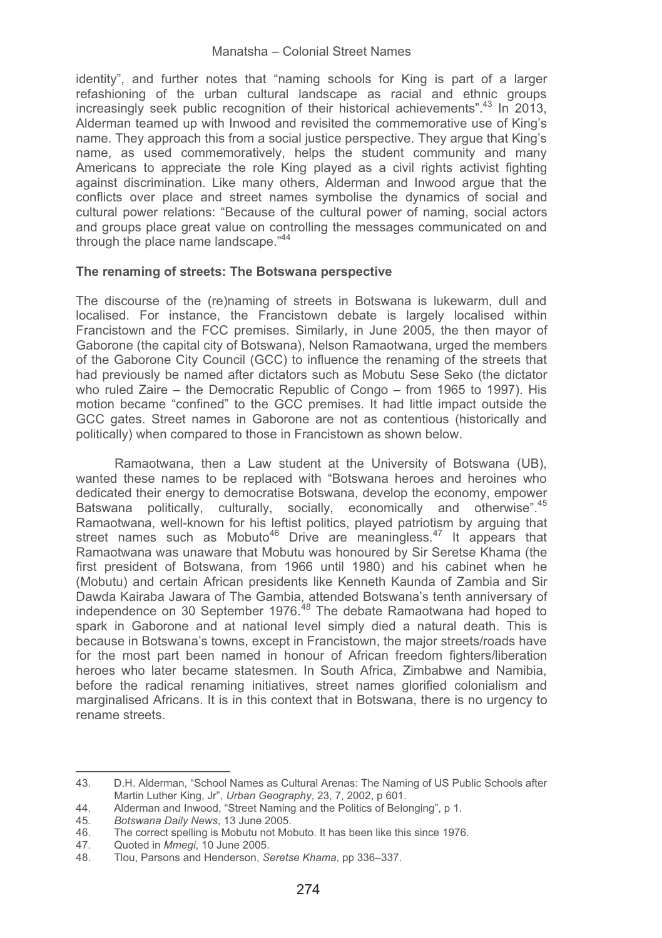identity", and further notes that "naming schools for King is part of a larger refashioning of the urban cultural landscape as racial and ethnic groups increasingly seek public recognition of their historical achievements".<sup>43</sup> In 2013, Alderman teamed up with Inwood and revisited the commemorative use of King's name. They approach this from a social justice perspective. They argue that King's name, as used commemoratively, helps the student community and many Americans to appreciate the role King played as a civil rights activist fighting against discrimination. Like many others, Alderman and Inwood argue that the conflicts over place and street names symbolise the dynamics of social and cultural power relations: "Because of the cultural power of naming, social actors and groups place great value on controlling the messages communicated on and through the place name landscape."44

# **The renaming of streets: The Botswana perspective**

The discourse of the (re)naming of streets in Botswana is lukewarm, dull and localised. For instance, the Francistown debate is largely localised within Francistown and the FCC premises. Similarly, in June 2005, the then mayor of Gaborone (the capital city of Botswana), Nelson Ramaotwana, urged the members of the Gaborone City Council (GCC) to influence the renaming of the streets that had previously be named after dictators such as Mobutu Sese Seko (the dictator who ruled Zaire – the Democratic Republic of Congo – from 1965 to 1997). His motion became "confined" to the GCC premises. It had little impact outside the GCC gates. Street names in Gaborone are not as contentious (historically and politically) when compared to those in Francistown as shown below.

Ramaotwana, then a Law student at the University of Botswana (UB), wanted these names to be replaced with "Botswana heroes and heroines who dedicated their energy to democratise Botswana, develop the economy, empower Batswana politically, culturally, socially, economically and otherwise".<sup>45</sup> Ramaotwana, well-known for his leftist politics, played patriotism by arguing that street names such as Mobuto<sup>46</sup> Drive are meaningless.<sup>47</sup> It appears that Ramaotwana was unaware that Mobutu was honoured by Sir Seretse Khama (the first president of Botswana, from 1966 until 1980) and his cabinet when he (Mobutu) and certain African presidents like Kenneth Kaunda of Zambia and Sir Dawda Kairaba Jawara of The Gambia, attended Botswana's tenth anniversary of independence on 30 September 1976. $^{48}$  The debate Ramaotwana had hoped to spark in Gaborone and at national level simply died a natural death. This is because in Botswana's towns, except in Francistown, the major streets/roads have for the most part been named in honour of African freedom fighters/liberation heroes who later became statesmen. In South Africa, Zimbabwe and Namibia, before the radical renaming initiatives, street names glorified colonialism and marginalised Africans. It is in this context that in Botswana, there is no urgency to rename streets.

<sup>43.</sup> D.H. Alderman, "School Names as Cultural Arenas: The Naming of US Public Schools after Martin Luther King, Jr", *Urban Geography*, 23, 7, 2002, p 601.

<sup>44.</sup> Alderman and Inwood, "Street Naming and the Politics of Belonging", p 1.<br>45. Botswana Daily News. 13 June 2005.

<sup>45</sup>*. Botswana Daily News*, 13 June 2005.

<sup>46.</sup> The correct spelling is Mobutu not Mobuto. It has been like this since 1976.<br>47. Quoted in *Mmeqi*, 10 June 2005.

<sup>47.</sup> Quoted in *Mmegi*, 10 June 2005.

<sup>48.</sup> Tlou, Parsons and Henderson, *Seretse Khama*, pp 336–337.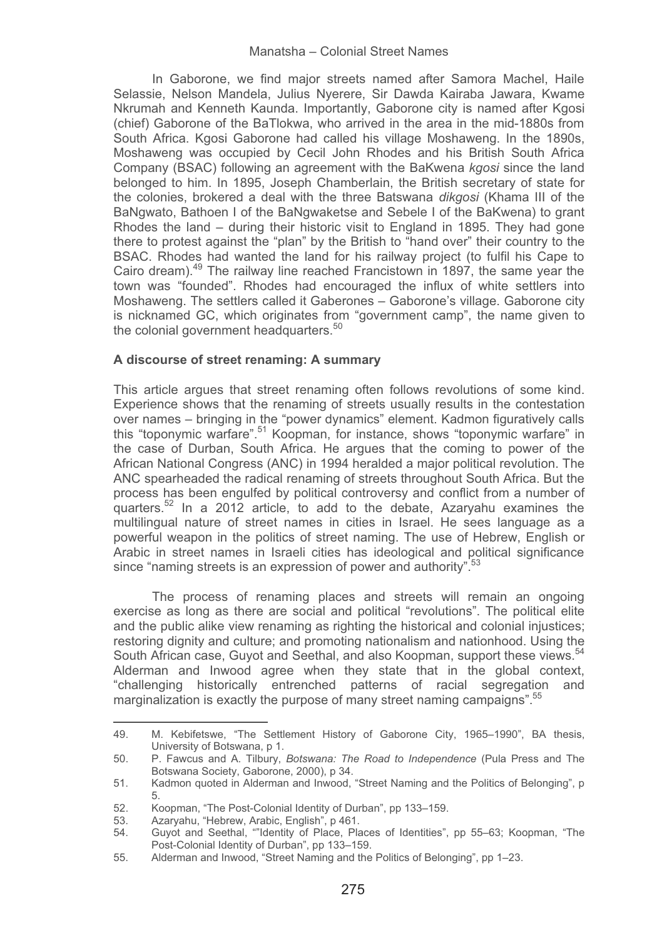In Gaborone, we find major streets named after Samora Machel, Haile Selassie, Nelson Mandela, Julius Nyerere, Sir Dawda Kairaba Jawara, Kwame Nkrumah and Kenneth Kaunda. Importantly, Gaborone city is named after Kgosi (chief) Gaborone of the BaTlokwa, who arrived in the area in the mid-1880s from South Africa. Kgosi Gaborone had called his village Moshaweng. In the 1890s, Moshaweng was occupied by Cecil John Rhodes and his British South Africa Company (BSAC) following an agreement with the BaKwena *kgosi* since the land belonged to him. In 1895, Joseph Chamberlain, the British secretary of state for the colonies, brokered a deal with the three Batswana *dikgosi* (Khama III of the BaNgwato, Bathoen I of the BaNgwaketse and Sebele I of the BaKwena) to grant Rhodes the land – during their historic visit to England in 1895. They had gone there to protest against the "plan" by the British to "hand over" their country to the BSAC. Rhodes had wanted the land for his railway project (to fulfil his Cape to Cairo dream).49 The railway line reached Francistown in 1897, the same year the town was "founded". Rhodes had encouraged the influx of white settlers into Moshaweng. The settlers called it Gaberones – Gaborone's village. Gaborone city is nicknamed GC, which originates from "government camp", the name given to the colonial government headquarters.<sup>50</sup>

# **A discourse of street renaming: A summary**

This article argues that street renaming often follows revolutions of some kind. Experience shows that the renaming of streets usually results in the contestation over names – bringing in the "power dynamics" element. Kadmon figuratively calls this "toponymic warfare".<sup>51</sup> Koopman, for instance, shows "toponymic warfare" in the case of Durban, South Africa. He argues that the coming to power of the African National Congress (ANC) in 1994 heralded a major political revolution. The ANC spearheaded the radical renaming of streets throughout South Africa. But the process has been engulfed by political controversy and conflict from a number of quarters.<sup>52</sup> In a 2012 article, to add to the debate, Azaryahu examines the multilingual nature of street names in cities in Israel. He sees language as a powerful weapon in the politics of street naming. The use of Hebrew, English or Arabic in street names in Israeli cities has ideological and political significance since "naming streets is an expression of power and authority".<sup>53</sup>

The process of renaming places and streets will remain an ongoing exercise as long as there are social and political "revolutions". The political elite and the public alike view renaming as righting the historical and colonial injustices; restoring dignity and culture; and promoting nationalism and nationhood. Using the South African case, Guyot and Seethal, and also Koopman, support these views.<sup>54</sup> Alderman and Inwood agree when they state that in the global context, "challenging historically entrenched patterns of racial segregation and marginalization is exactly the purpose of many street naming campaigns" <sup>55</sup>

<sup>49.</sup> M. Kebifetswe, "The Settlement History of Gaborone City, 1965–1990", BA thesis, University of Botswana, p 1.

<sup>50.</sup> P. Fawcus and A. Tilbury, *Botswana: The Road to Independence* (Pula Press and The Botswana Society, Gaborone, 2000), p 34.

<sup>51.</sup> Kadmon quoted in Alderman and Inwood, "Street Naming and the Politics of Belonging", p 5.

<sup>52.</sup> Koopman, "The Post-Colonial Identity of Durban", pp 133-159.<br>53. Azaryahu, "Hebrew, Arabic, English", p 461.

<sup>53.</sup> Azaryahu, "Hebrew, Arabic, English", p 461.<br>54 Guvot and Seethal. ""Identity of Place. Pla

<sup>54.</sup> Guyot and Seethal, ""Identity of Place, Places of Identities", pp 55–63; Koopman, "The Post-Colonial Identity of Durban", pp 133–159.

<sup>55.</sup> Alderman and Inwood, "Street Naming and the Politics of Belonging", pp 1–23.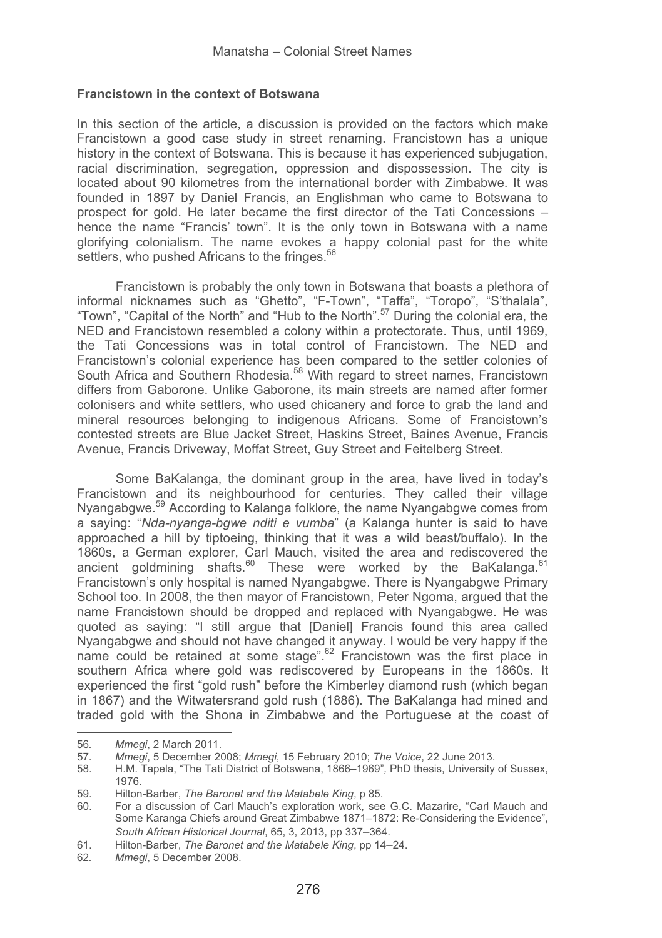### **Francistown in the context of Botswana**

In this section of the article, a discussion is provided on the factors which make Francistown a good case study in street renaming. Francistown has a unique history in the context of Botswana. This is because it has experienced subjugation, racial discrimination, segregation, oppression and dispossession. The city is located about 90 kilometres from the international border with Zimbabwe. It was founded in 1897 by Daniel Francis, an Englishman who came to Botswana to prospect for gold. He later became the first director of the Tati Concessions – hence the name "Francis' town". It is the only town in Botswana with a name glorifying colonialism. The name evokes a happy colonial past for the white settlers, who pushed Africans to the fringes.<sup>56</sup>

Francistown is probably the only town in Botswana that boasts a plethora of informal nicknames such as "Ghetto", "F-Town", "Taffa", "Toropo", "S'thalala", "Town", "Capital of the North" and "Hub to the North".57 During the colonial era, the NED and Francistown resembled a colony within a protectorate. Thus, until 1969, the Tati Concessions was in total control of Francistown. The NED and Francistown's colonial experience has been compared to the settler colonies of South Africa and Southern Rhodesia.<sup>58</sup> With regard to street names, Francistown differs from Gaborone. Unlike Gaborone, its main streets are named after former colonisers and white settlers, who used chicanery and force to grab the land and mineral resources belonging to indigenous Africans. Some of Francistown's contested streets are Blue Jacket Street, Haskins Street, Baines Avenue, Francis Avenue, Francis Driveway, Moffat Street, Guy Street and Feitelberg Street.

Some BaKalanga, the dominant group in the area, have lived in today's Francistown and its neighbourhood for centuries. They called their village Nyangabgwe.59 According to Kalanga folklore, the name Nyangabgwe comes from a saying: "*Nda-nyanga-bgwe nditi e vumba*" (a Kalanga hunter is said to have approached a hill by tiptoeing, thinking that it was a wild beast/buffalo). In the 1860s, a German explorer, Carl Mauch, visited the area and rediscovered the ancient goldmining shafts.<sup>60</sup> These were worked by the BaKalanga.<sup>61</sup> Francistown's only hospital is named Nyangabgwe. There is Nyangabgwe Primary School too. In 2008, the then mayor of Francistown, Peter Ngoma, argued that the name Francistown should be dropped and replaced with Nyangabgwe. He was quoted as saying: "I still argue that [Daniel] Francis found this area called Nyangabgwe and should not have changed it anyway. I would be very happy if the name could be retained at some stage".<sup>62</sup> Francistown was the first place in southern Africa where gold was rediscovered by Europeans in the 1860s. It experienced the first "gold rush" before the Kimberley diamond rush (which began in 1867) and the Witwatersrand gold rush (1886). The BaKalanga had mined and traded gold with the Shona in Zimbabwe and the Portuguese at the coast of

---------------------------

-----------------------

<sup>-</sup>--------56*. Mmegi*, 2 March 2011.

<sup>57</sup>*. Mmegi*, 5 December 2008; *Mmegi*, 15 February 2010; *The Voice*, 22 June 2013.

<sup>58.</sup> H.M. Tapela, "The Tati District of Botswana, 1866–1969"*,* PhD thesis, University of Sussex, 1976.

<sup>59.</sup> Hilton-Barber, *The Baronet and the Matabele King*, p 85.

<sup>60.</sup> For a discussion of Carl Mauch's exploration work, see G.C. Mazarire, "Carl Mauch and Some Karanga Chiefs around Great Zimbabwe 1871–1872: Re-Considering the Evidence", *South African Historical Journal*, 65, 3, 2013, pp 337–364.

<sup>61.</sup> Hilton-Barber, *The Baronet and the Matabele King*, pp 14–24.

<sup>62</sup>*. Mmegi*, 5 December 2008.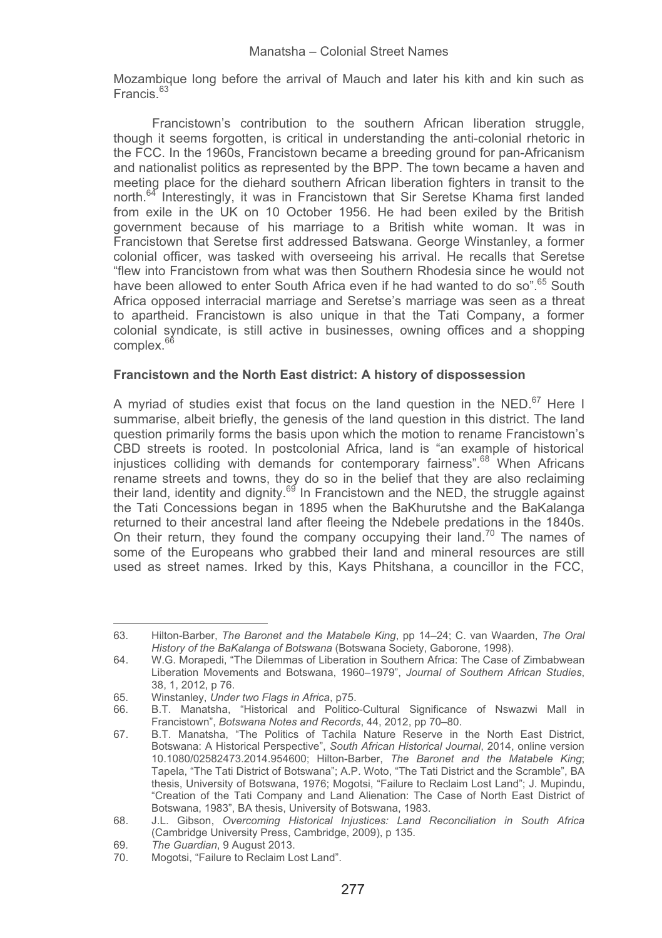Mozambique long before the arrival of Mauch and later his kith and kin such as Francis<sup>63</sup>

Francistown's contribution to the southern African liberation struggle, though it seems forgotten, is critical in understanding the anti-colonial rhetoric in the FCC. In the 1960s, Francistown became a breeding ground for pan-Africanism and nationalist politics as represented by the BPP. The town became a haven and meeting place for the diehard southern African liberation fighters in transit to the north.<sup>64</sup> Interestingly, it was in Francistown that Sir Seretse Khama first landed from exile in the UK on 10 October 1956. He had been exiled by the British government because of his marriage to a British white woman. It was in Francistown that Seretse first addressed Batswana. George Winstanley, a former colonial officer, was tasked with overseeing his arrival. He recalls that Seretse "flew into Francistown from what was then Southern Rhodesia since he would not have been allowed to enter South Africa even if he had wanted to do so".<sup>65</sup> South Africa opposed interracial marriage and Seretse's marriage was seen as a threat to apartheid. Francistown is also unique in that the Tati Company, a former colonial syndicate, is still active in businesses, owning offices and a shopping  $complex<sup>6</sup>$ 

# **Francistown and the North East district: A history of dispossession**

A myriad of studies exist that focus on the land question in the NED.<sup>67</sup> Here I summarise, albeit briefly, the genesis of the land question in this district. The land question primarily forms the basis upon which the motion to rename Francistown's CBD streets is rooted. In postcolonial Africa, land is "an example of historical injustices colliding with demands for contemporary fairness".<sup>68</sup> When Africans rename streets and towns, they do so in the belief that they are also reclaiming their land, identity and dignity.<sup>69</sup> In Francistown and the NED, the struggle against the Tati Concessions began in 1895 when the BaKhurutshe and the BaKalanga returned to their ancestral land after fleeing the Ndebele predations in the 1840s. On their return, they found the company occupying their land.<sup>70</sup> The names of some of the Europeans who grabbed their land and mineral resources are still used as street names. Irked by this, Kays Phitshana, a councillor in the FCC,

<sup>63.</sup> Hilton-Barber, *The Baronet and the Matabele King*, pp 14–24; C. van Waarden, *The Oral History of the BaKalanga of Botswana* (Botswana Society, Gaborone, 1998).

<sup>64.</sup> W.G. Morapedi, "The Dilemmas of Liberation in Southern Africa: The Case of Zimbabwean Liberation Movements and Botswana, 1960–1979", *Journal of Southern African Studies*, 38, 1, 2012, p 76.

<sup>65.</sup> Winstanley, *Under two Flags in Africa*, p75.

<sup>66.</sup> B.T. Manatsha, "Historical and Politico-Cultural Significance of Nswazwi Mall in Francistown", *Botswana Notes and Records*, 44, 2012, pp 70–80.

<sup>67.</sup> B.T. Manatsha, "The Politics of Tachila Nature Reserve in the North East District, Botswana: A Historical Perspective", *South African Historical Journal*, 2014, online version 10.1080/02582473.2014.954600; Hilton-Barber, *The Baronet and the Matabele King*; Tapela, "The Tati District of Botswana"; A.P. Woto, "The Tati District and the Scramble", BA thesis, University of Botswana, 1976; Mogotsi, "Failure to Reclaim Lost Land"; J. Mupindu, "Creation of the Tati Company and Land Alienation: The Case of North East District of Botswana, 1983", BA thesis, University of Botswana, 1983.

<sup>68.</sup> J.L. Gibson, *Overcoming Historical Injustices: Land Reconciliation in South Africa* (Cambridge University Press, Cambridge, 2009), p 135.

<sup>69</sup>*. The Guardian*, 9 August 2013.

Mogotsi, "Failure to Reclaim Lost Land".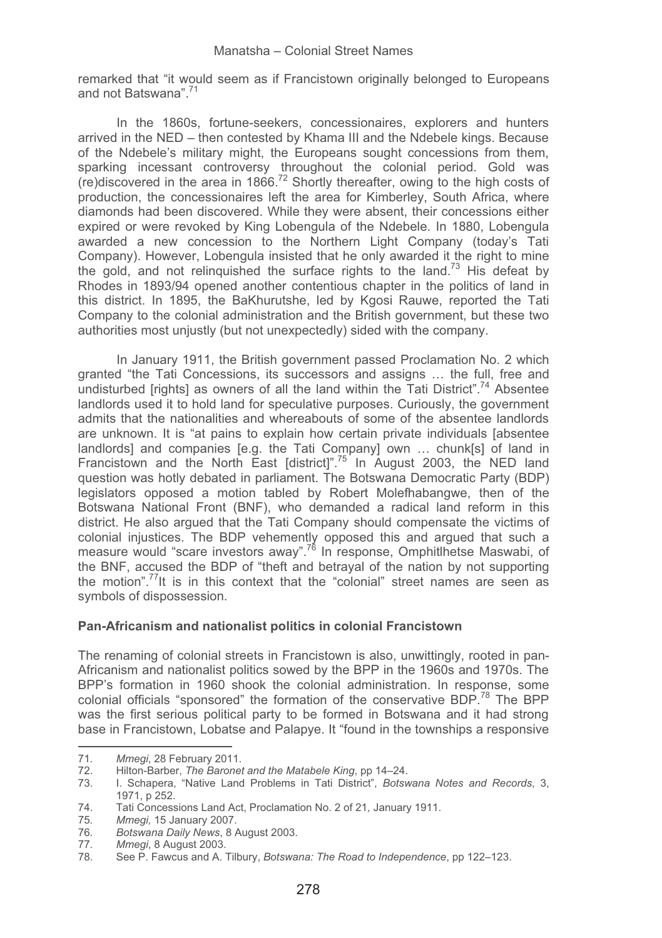remarked that "it would seem as if Francistown originally belonged to Europeans and not Batswana".71

In the 1860s, fortune-seekers, concessionaires, explorers and hunters arrived in the NED – then contested by Khama III and the Ndebele kings. Because of the Ndebele's military might, the Europeans sought concessions from them, sparking incessant controversy throughout the colonial period. Gold was (re)discovered in the area in 1866.72 Shortly thereafter, owing to the high costs of production, the concessionaires left the area for Kimberley, South Africa, where diamonds had been discovered. While they were absent, their concessions either expired or were revoked by King Lobengula of the Ndebele. In 1880, Lobengula awarded a new concession to the Northern Light Company (today's Tati Company). However, Lobengula insisted that he only awarded it the right to mine the gold, and not relinguished the surface rights to the land.<sup>73</sup> His defeat by Rhodes in 1893/94 opened another contentious chapter in the politics of land in this district. In 1895, the BaKhurutshe, led by Kgosi Rauwe, reported the Tati Company to the colonial administration and the British government, but these two authorities most unjustly (but not unexpectedly) sided with the company.

In January 1911, the British government passed Proclamation No. 2 which granted "the Tati Concessions, its successors and assigns … the full, free and undisturbed [rights] as owners of all the land within the Tati District".<sup>74</sup> Absentee landlords used it to hold land for speculative purposes. Curiously, the government admits that the nationalities and whereabouts of some of the absentee landlords are unknown. It is "at pains to explain how certain private individuals [absentee landlords] and companies [e.g. the Tati Company] own … chunk[s] of land in Francistown and the North East [district]".<sup>75</sup> In August 2003, the NED land question was hotly debated in parliament. The Botswana Democratic Party (BDP) legislators opposed a motion tabled by Robert Molefhabangwe, then of the Botswana National Front (BNF), who demanded a radical land reform in this district. He also argued that the Tati Company should compensate the victims of colonial injustices. The BDP vehemently opposed this and argued that such a measure would "scare investors away".<sup>76</sup> In response, Omphitlhetse Maswabi, of the BNF, accused the BDP of "theft and betrayal of the nation by not supporting the motion".<sup>77</sup>It is in this context that the "colonial" street names are seen as symbols of dispossession.

# **Pan-Africanism and nationalist politics in colonial Francistown**

The renaming of colonial streets in Francistown is also, unwittingly, rooted in pan-Africanism and nationalist politics sowed by the BPP in the 1960s and 1970s. The BPP's formation in 1960 shook the colonial administration. In response, some colonial officials "sponsored" the formation of the conservative BDP.78 The BPP was the first serious political party to be formed in Botswana and it had strong base in Francistown, Lobatse and Palapye. It "found in the townships a responsive -----------------------------------------------------------

<sup>71</sup>*. Mmegi*, 28 February 2011.

<sup>72.</sup> Hilton-Barber, *The Baronet and the Matabele King*, pp 14–24.

<sup>73.</sup> I. Schapera, "Native Land Problems in Tati District", *Botswana Notes and Records*, 3, 1971, p 252.

<sup>74.</sup> Tati Concessions Land Act, Proclamation No. 2 of 21*,* January 1911.

<sup>75</sup>*. Mmegi,* 15 January 2007.

<sup>76</sup>*. Botswana Daily News*, 8 August 2003.

<sup>77</sup>*. Mmegi*, 8 August 2003.

<sup>78.</sup> See P. Fawcus and A. Tilbury, *Botswana: The Road to Independence*, pp 122–123.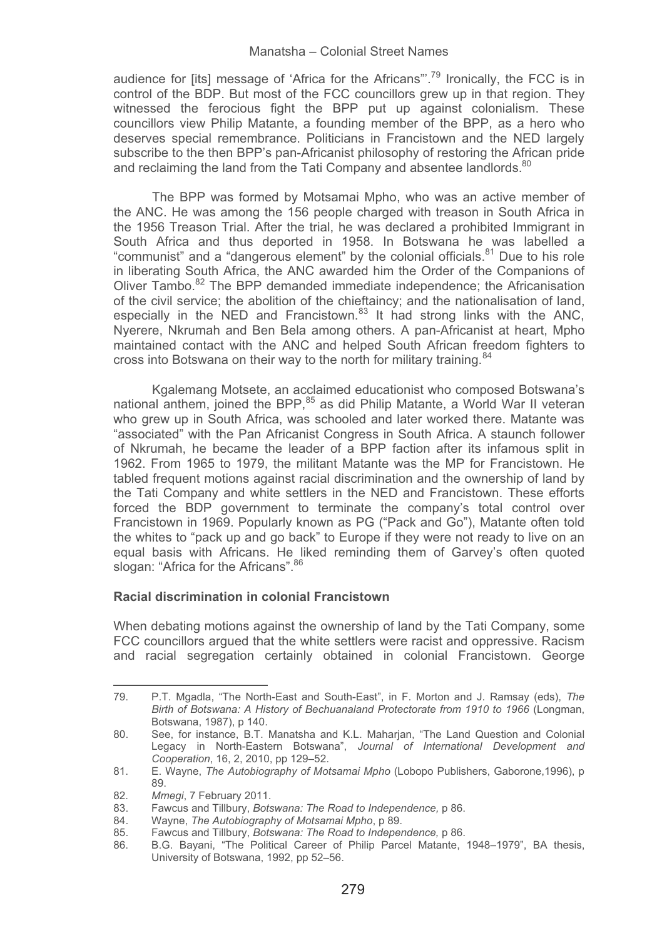audience for [its] message of 'Africa for the Africans".<sup>79</sup> Ironically, the FCC is in control of the BDP. But most of the FCC councillors grew up in that region. They witnessed the ferocious fight the BPP put up against colonialism. These councillors view Philip Matante, a founding member of the BPP, as a hero who deserves special remembrance. Politicians in Francistown and the NED largely subscribe to the then BPP's pan-Africanist philosophy of restoring the African pride and reclaiming the land from the Tati Company and absentee landlords.<sup>80</sup>

The BPP was formed by Motsamai Mpho, who was an active member of the ANC. He was among the 156 people charged with treason in South Africa in the 1956 Treason Trial. After the trial, he was declared a prohibited Immigrant in South Africa and thus deported in 1958. In Botswana he was labelled a "communist" and a "dangerous element" by the colonial officials.81 Due to his role in liberating South Africa, the ANC awarded him the Order of the Companions of Oliver Tambo. $82$  The BPP demanded immediate independence; the Africanisation of the civil service; the abolition of the chieftaincy; and the nationalisation of land, especially in the NED and Francistown. $83$  It had strong links with the ANC. Nyerere, Nkrumah and Ben Bela among others. A pan-Africanist at heart, Mpho maintained contact with the ANC and helped South African freedom fighters to cross into Botswana on their way to the north for military training.<sup>84</sup>

Kgalemang Motsete, an acclaimed educationist who composed Botswana's national anthem, joined the BPP,<sup>85</sup> as did Philip Matante, a World War II veteran who grew up in South Africa, was schooled and later worked there. Matante was "associated" with the Pan Africanist Congress in South Africa. A staunch follower of Nkrumah, he became the leader of a BPP faction after its infamous split in 1962. From 1965 to 1979, the militant Matante was the MP for Francistown. He tabled frequent motions against racial discrimination and the ownership of land by the Tati Company and white settlers in the NED and Francistown. These efforts forced the BDP government to terminate the company's total control over Francistown in 1969. Popularly known as PG ("Pack and Go"), Matante often told the whites to "pack up and go back" to Europe if they were not ready to live on an equal basis with Africans. He liked reminding them of Garvey's often quoted slogan: "Africa for the Africans". <sup>86</sup>

### **Racial discrimination in colonial Francistown**

When debating motions against the ownership of land by the Tati Company, some FCC councillors argued that the white settlers were racist and oppressive. Racism and racial segregation certainly obtained in colonial Francistown. George

<sup>79.</sup> P.T. Mgadla, "The North-East and South-East", in F. Morton and J. Ramsay (eds), *The Birth of Botswana: A History of Bechuanaland Protectorate from 1910 to 1966* (Longman, Botswana, 1987), p 140.

<sup>80.</sup> See, for instance, B.T. Manatsha and K.L. Maharjan, "The Land Question and Colonial Legacy in North-Eastern Botswana", *Journal of International Development and Cooperation*, 16, 2, 2010, pp 129–52.

<sup>81.</sup> E. Wayne, *The Autobiography of Motsamai Mpho* (Lobopo Publishers, Gaborone,1996), p 89.

<sup>82</sup>*. Mmegi*, 7 February 2011.

<sup>83.</sup> Fawcus and Tillbury, *Botswana: The Road to Independence,* p 86.

<sup>84.</sup> Wayne, *The Autobiography of Motsamai Mpho*, p 89.

<sup>85.</sup> Fawcus and Tillbury, *Botswana: The Road to Independence,* p 86. 86. B.G. Bayani, "The Political Career of Philip Parcel Matante, 1948–1979", BA thesis, University of Botswana, 1992, pp 52–56.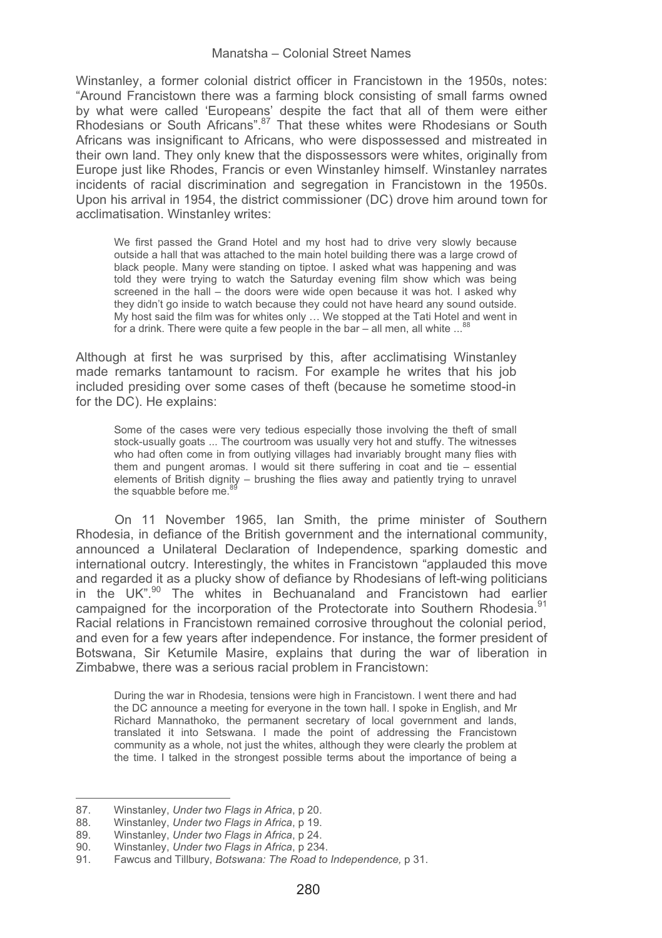Winstanley, a former colonial district officer in Francistown in the 1950s, notes: "Around Francistown there was a farming block consisting of small farms owned by what were called 'Europeans' despite the fact that all of them were either By what were called Europeand deephe and have that all of them were entirefully Rhodesians or South Africans was insignificant to Africans, who were dispossessed and mistreated in their own land. They only knew that the dispossessors were whites, originally from Europe just like Rhodes, Francis or even Winstanley himself. Winstanley narrates incidents of racial discrimination and segregation in Francistown in the 1950s. Upon his arrival in 1954, the district commissioner (DC) drove him around town for acclimatisation. Winstanley writes:

We first passed the Grand Hotel and my host had to drive very slowly because outside a hall that was attached to the main hotel building there was a large crowd of black people. Many were standing on tiptoe. I asked what was happening and was told they were trying to watch the Saturday evening film show which was being screened in the hall – the doors were wide open because it was hot. I asked why they didn't go inside to watch because they could not have heard any sound outside. My host said the film was for whites only … We stopped at the Tati Hotel and went in for a drink. There were quite a few people in the bar – all men, all white  $\ldots$ 

Although at first he was surprised by this, after acclimatising Winstanley made remarks tantamount to racism. For example he writes that his job included presiding over some cases of theft (because he sometime stood-in for the DC). He explains:

Some of the cases were very tedious especially those involving the theft of small stock-usually goats ... The courtroom was usually very hot and stuffy. The witnesses who had often come in from outlying villages had invariably brought many flies with them and pungent aromas. I would sit there suffering in coat and tie – essential elements of British dignity – brushing the flies away and patiently trying to unravel the squabble before  $me<sup>8</sup>$ 

On 11 November 1965, Ian Smith, the prime minister of Southern Rhodesia, in defiance of the British government and the international community, announced a Unilateral Declaration of Independence, sparking domestic and international outcry. Interestingly, the whites in Francistown "applauded this move and regarded it as a plucky show of defiance by Rhodesians of left-wing politicians in the UK".<sup>90</sup> The whites in Bechuanaland and Francistown had earlier campaigned for the incorporation of the Protectorate into Southern Rhodesia.<sup>91</sup> Racial relations in Francistown remained corrosive throughout the colonial period, and even for a few years after independence. For instance, the former president of Botswana, Sir Ketumile Masire, explains that during the war of liberation in Zimbabwe, there was a serious racial problem in Francistown:

During the war in Rhodesia, tensions were high in Francistown. I went there and had the DC announce a meeting for everyone in the town hall. I spoke in English, and Mr Richard Mannathoko, the permanent secretary of local government and lands, translated it into Setswana. I made the point of addressing the Francistown community as a whole, not just the whites, although they were clearly the problem at the time. I talked in the strongest possible terms about the importance of being a

--------

------------------------------------------

<sup>-</sup>--------87. Winstanley, *Under two Flags in Africa*, p 20.

<sup>88.</sup> Winstanley, *Under two Flags in Africa*, p 19.

<sup>89.</sup> Winstanley, *Under two Flags in Africa*, p 24.

<sup>90.</sup> Winstanley, *Under two Flags in Africa*, p 234.

<sup>91.</sup> Fawcus and Tillbury, *Botswana: The Road to Independence,* p 31.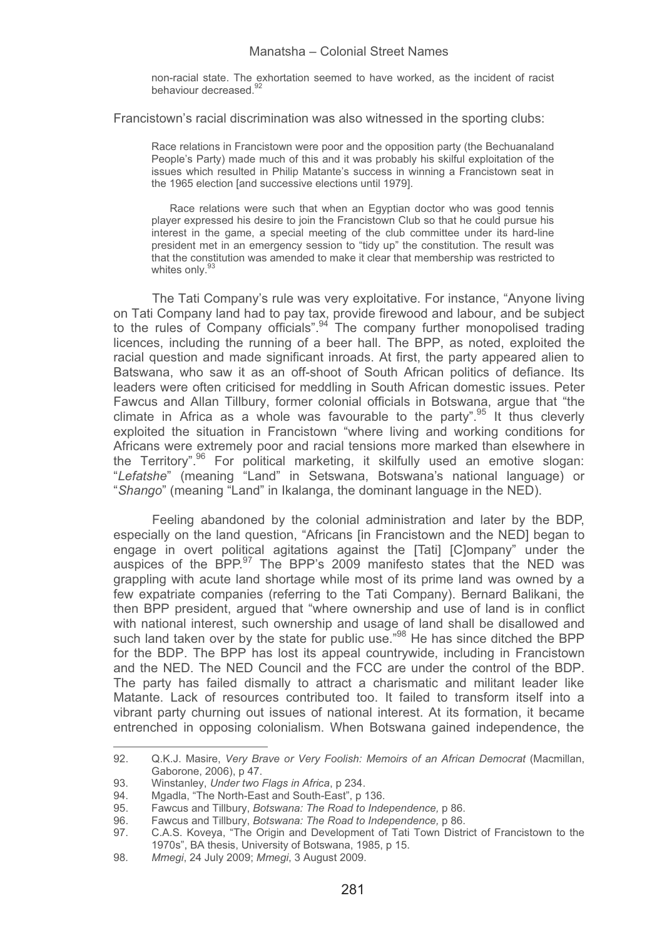non-racial state. The exhortation seemed to have worked, as the incident of racist behaviour decreased.<sup>92</sup>

Francistown's racial discrimination was also witnessed in the sporting clubs:

Race relations in Francistown were poor and the opposition party (the Bechuanaland People's Party) made much of this and it was probably his skilful exploitation of the issues which resulted in Philip Matante's success in winning a Francistown seat in the 1965 election [and successive elections until 1979].

Race relations were such that when an Egyptian doctor who was good tennis player expressed his desire to join the Francistown Club so that he could pursue his interest in the game, a special meeting of the club committee under its hard-line president met in an emergency session to "tidy up" the constitution. The result was that the constitution was amended to make it clear that membership was restricted to whites only.<sup>9</sup>

The Tati Company's rule was very exploitative. For instance, "Anyone living on Tati Company land had to pay tax, provide firewood and labour, and be subject to the rules of Company officials".<sup>94</sup> The company further monopolised trading licences, including the running of a beer hall. The BPP, as noted, exploited the racial question and made significant inroads. At first, the party appeared alien to Batswana, who saw it as an off-shoot of South African politics of defiance. Its leaders were often criticised for meddling in South African domestic issues. Peter Fawcus and Allan Tillbury, former colonial officials in Botswana, argue that "the climate in Africa as a whole was favourable to the party".95 It thus cleverly exploited the situation in Francistown "where living and working conditions for Africans were extremely poor and racial tensions more marked than elsewhere in the Territory".<sup>96</sup> For political marketing, it skilfully used an emotive slogan: "*Lefatshe*" (meaning "Land" in Setswana, Botswana's national language) or "*Shango*" (meaning "Land" in Ikalanga, the dominant language in the NED).

Feeling abandoned by the colonial administration and later by the BDP, especially on the land question, "Africans [in Francistown and the NED] began to engage in overt political agitations against the [Tati] [C]ompany" under the auspices of the BPP.<sup>97</sup> The BPP's 2009 manifesto states that the NED was grappling with acute land shortage while most of its prime land was owned by a few expatriate companies (referring to the Tati Company). Bernard Balikani, the then BPP president, argued that "where ownership and use of land is in conflict with national interest, such ownership and usage of land shall be disallowed and such land taken over by the state for public use.<sup>98</sup> He has since ditched the BPP for the BDP. The BPP has lost its appeal countrywide, including in Francistown and the NED. The NED Council and the FCC are under the control of the BDP. The party has failed dismally to attract a charismatic and militant leader like Matante. Lack of resources contributed too. It failed to transform itself into a vibrant party churning out issues of national interest. At its formation, it became entrenched in opposing colonialism. When Botswana gained independence, the

<sup>92.</sup> Q.K.J. Masire, *Very Brave or Very Foolish: Memoirs of an African Democrat* (Macmillan, Gaborone, 2006), p 47.

<sup>93.</sup> Winstanley, *Under two Flags in Africa*, p 234.

<sup>94.</sup> Mgadla, "The North-East and South-East", p 136.<br>95. Eaweus and Tillbury, Botswana: The Road to Inde

<sup>95.</sup> Fawcus and Tillbury, *Botswana: The Road to Independence,* p 86.

<sup>96.</sup> Fawcus and Tillbury, *Botswana: The Road to Independence,* p 86.

<sup>97.</sup> C.A.S. Koveya, "The Origin and Development of Tati Town District of Francistown to the 1970s", BA thesis, University of Botswana, 1985, p 15.

<sup>98</sup>*. Mmegi*, 24 July 2009; *Mmegi*, 3 August 2009.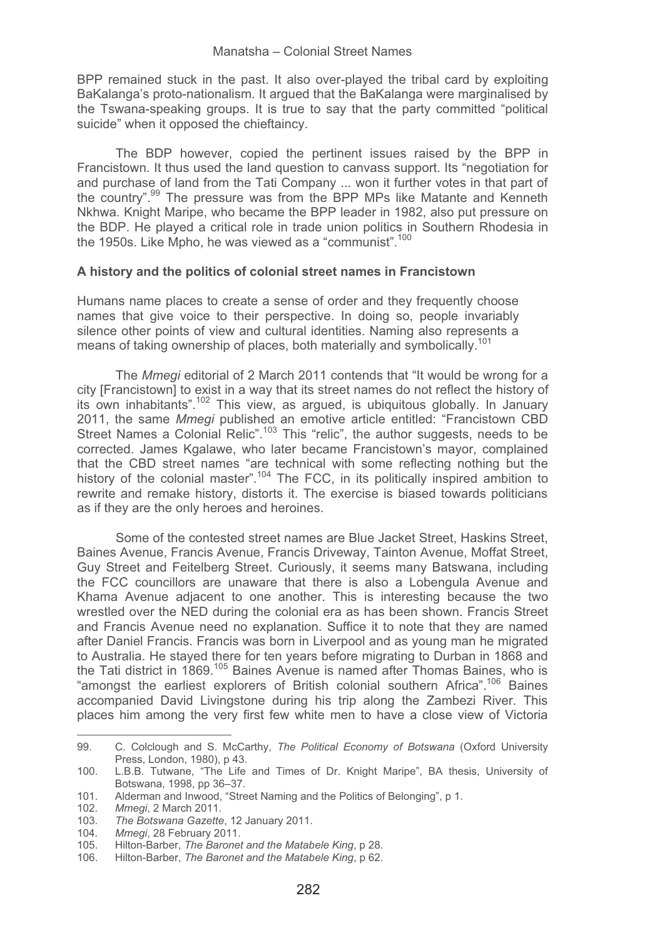BPP remained stuck in the past. It also over-played the tribal card by exploiting BaKalanga's proto-nationalism. It argued that the BaKalanga were marginalised by the Tswana-speaking groups. It is true to say that the party committed "political suicide" when it opposed the chieftaincy.

The BDP however, copied the pertinent issues raised by the BPP in Francistown. It thus used the land question to canvass support. Its "negotiation for and purchase of land from the Tati Company ... won it further votes in that part of the country".<sup>99</sup> The pressure was from the BPP MPs like Matante and Kenneth Nkhwa. Knight Maripe, who became the BPP leader in 1982, also put pressure on the BDP. He played a critical role in trade union politics in Southern Rhodesia in the 1950s. Like Mpho, he was viewed as a "communist".<sup>100</sup>

### **A history and the politics of colonial street names in Francistown**

Humans name places to create a sense of order and they frequently choose names that give voice to their perspective. In doing so, people invariably silence other points of view and cultural identities. Naming also represents a means of taking ownership of places, both materially and symbolically.<sup>101</sup>

The *Mmegi* editorial of 2 March 2011 contends that "It would be wrong for a city [Francistown] to exist in a way that its street names do not reflect the history of its own inhabitants".102 This view, as argued, is ubiquitous globally. In January 2011, the same *Mmegi* published an emotive article entitled: "Francistown CBD Street Names a Colonial Relic".<sup>103</sup> This "relic", the author suggests, needs to be corrected. James Kgalawe, who later became Francistown's mayor, complained that the CBD street names "are technical with some reflecting nothing but the history of the colonial master".<sup>104</sup> The FCC, in its politically inspired ambition to rewrite and remake history, distorts it. The exercise is biased towards politicians as if they are the only heroes and heroines.

Some of the contested street names are Blue Jacket Street, Haskins Street, Baines Avenue, Francis Avenue, Francis Driveway, Tainton Avenue, Moffat Street, Guy Street and Feitelberg Street. Curiously, it seems many Batswana, including the FCC councillors are unaware that there is also a Lobengula Avenue and Khama Avenue adjacent to one another. This is interesting because the two wrestled over the NED during the colonial era as has been shown. Francis Street and Francis Avenue need no explanation. Suffice it to note that they are named after Daniel Francis. Francis was born in Liverpool and as young man he migrated to Australia. He stayed there for ten years before migrating to Durban in 1868 and the Tati district in 1869.<sup>105</sup> Baines Avenue is named after Thomas Baines, who is "amongst the earliest explorers of British colonial southern Africa".<sup>106</sup> Baines accompanied David Livingstone during his trip along the Zambezi River. This places him among the very first few white men to have a close view of Victoria

<sup>99.</sup> C. Colclough and S. McCarthy, *The Political Economy of Botswana* (Oxford University Press, London, 1980), p 43.

<sup>100.</sup> L.B.B. Tutwane, "The Life and Times of Dr. Knight Maripe", BA thesis, University of Botswana, 1998, pp 36–37.

<sup>101.</sup> Alderman and Inwood, "Street Naming and the Politics of Belonging", p 1.

<sup>102</sup>*. Mmegi*, 2 March 2011.

<sup>103</sup>*. The Botswana Gazette*, 12 January 2011.

<sup>104</sup>*. Mmegi*, 28 February 2011.

<sup>105.</sup> Hilton-Barber, *The Baronet and the Matabele King*, p 28.

<sup>106.</sup> Hilton-Barber, *The Baronet and the Matabele King*, p 62.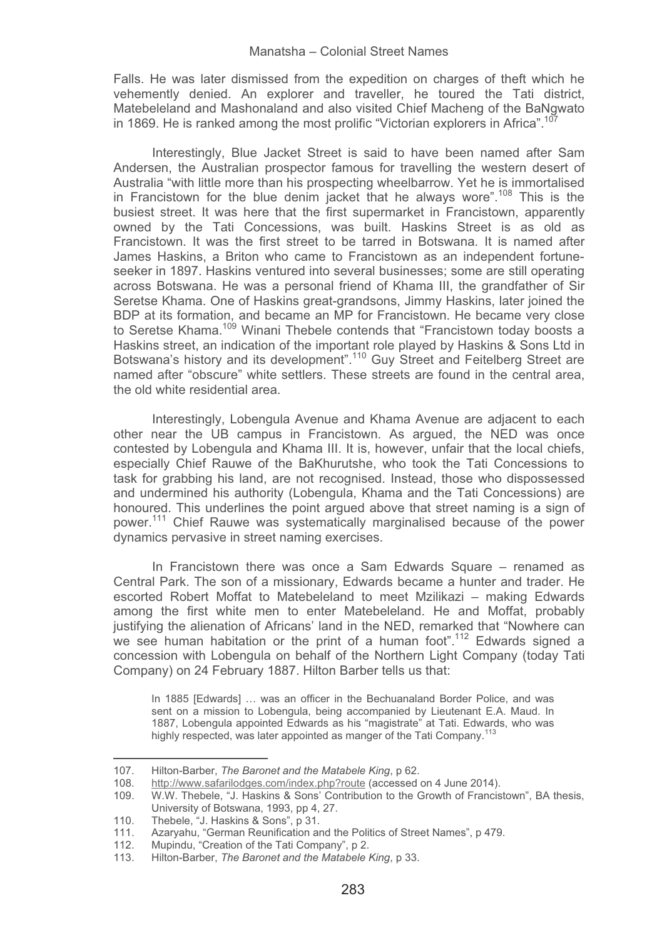Falls. He was later dismissed from the expedition on charges of theft which he vehemently denied. An explorer and traveller, he toured the Tati district, Matebeleland and Mashonaland and also visited Chief Macheng of the BaNgwato in 1869. He is ranked among the most prolific "Victorian explorers in Africa".<sup>11</sup>

Interestingly, Blue Jacket Street is said to have been named after Sam Andersen, the Australian prospector famous for travelling the western desert of Australia "with little more than his prospecting wheelbarrow. Yet he is immortalised in Francistown for the blue denim jacket that he always wore".<sup>108</sup> This is the busiest street. It was here that the first supermarket in Francistown, apparently owned by the Tati Concessions, was built. Haskins Street is as old as Francistown. It was the first street to be tarred in Botswana. It is named after James Haskins, a Briton who came to Francistown as an independent fortuneseeker in 1897. Haskins ventured into several businesses; some are still operating across Botswana. He was a personal friend of Khama III, the grandfather of Sir Seretse Khama. One of Haskins great-grandsons, Jimmy Haskins, later joined the BDP at its formation, and became an MP for Francistown. He became very close to Seretse Khama.109 Winani Thebele contends that "Francistown today boosts a Haskins street, an indication of the important role played by Haskins & Sons Ltd in Botswana's history and its development".110 Guy Street and Feitelberg Street are named after "obscure" white settlers. These streets are found in the central area, the old white residential area.

Interestingly, Lobengula Avenue and Khama Avenue are adjacent to each other near the UB campus in Francistown. As argued, the NED was once contested by Lobengula and Khama III. It is, however, unfair that the local chiefs, especially Chief Rauwe of the BaKhurutshe, who took the Tati Concessions to task for grabbing his land, are not recognised. Instead, those who dispossessed and undermined his authority (Lobengula, Khama and the Tati Concessions) are honoured. This underlines the point argued above that street naming is a sign of power.<sup>111</sup> Chief Rauwe was systematically marginalised because of the power dynamics pervasive in street naming exercises.

In Francistown there was once a Sam Edwards Square – renamed as Central Park. The son of a missionary, Edwards became a hunter and trader. He escorted Robert Moffat to Matebeleland to meet Mzilikazi – making Edwards among the first white men to enter Matebeleland. He and Moffat, probably justifying the alienation of Africans' land in the NED, remarked that "Nowhere can we see human habitation or the print of a human foot".<sup>112</sup> Edwards signed a concession with Lobengula on behalf of the Northern Light Company (today Tati Company) on 24 February 1887. Hilton Barber tells us that:

In 1885 [Edwards] ... was an officer in the Bechuanaland Border Police, and was sent on a mission to Lobengula, being accompanied by Lieutenant E.A. Maud. In 1887, Lobengula appointed Edwards as his "magistrate" at Tati. Edwards, who was highly respected, was later appointed as manger of the Tati Company.

<sup>-</sup>----107. Hilton-Barber, *The Baronet and the Matabele King*, p 62.

<sup>108</sup>.http://www.safarilodges.com/index.php?route (accessed on 4 June 2014).

<sup>109.</sup> W.W. Thebele, "J. Haskins & Sons' Contribution to the Growth of Francistown", BA thesis, University of Botswana, 1993, pp 4, 27.

<sup>110.</sup> Thebele, "J. Haskins & Sons", p 31.

<sup>111.</sup> Azaryahu, "German Reunification and the Politics of Street Names", p 479.

<sup>112.</sup> Mupindu, "Creation of the Tati Company", p 2.<br>113. Hilton-Barber. The Baronet and the Matabele

<sup>113.</sup> Hilton-Barber, *The Baronet and the Matabele King*, p 33.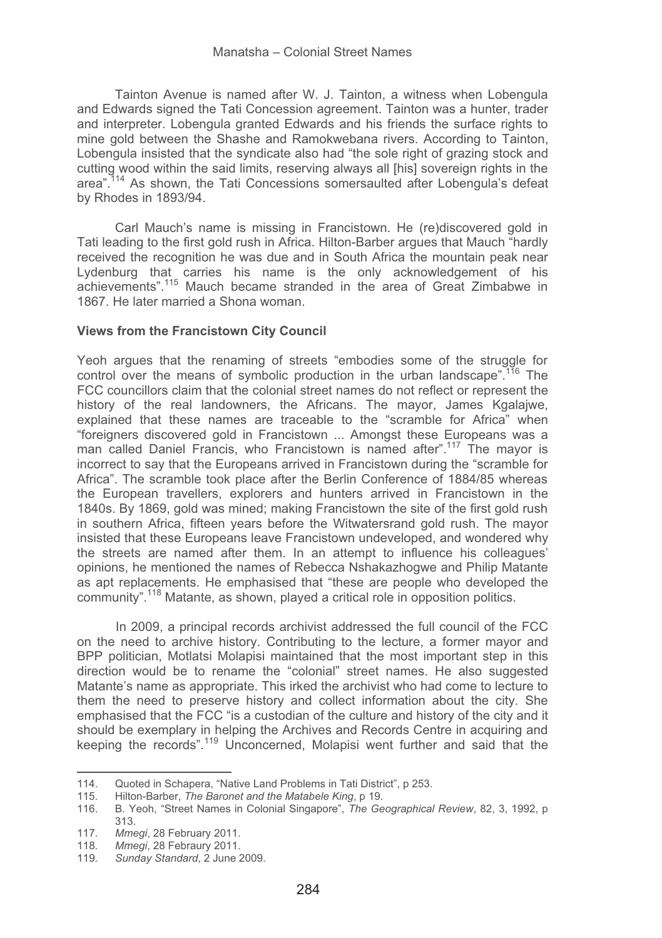Tainton Avenue is named after W. J. Tainton, a witness when Lobengula and Edwards signed the Tati Concession agreement. Tainton was a hunter, trader and interpreter. Lobengula granted Edwards and his friends the surface rights to mine gold between the Shashe and Ramokwebana rivers. According to Tainton, Lobengula insisted that the syndicate also had "the sole right of grazing stock and cutting wood within the said limits, reserving always all [his] sovereign rights in the area".114 As shown, the Tati Concessions somersaulted after Lobengula's defeat by Rhodes in 1893/94.

Carl Mauch's name is missing in Francistown. He (re)discovered gold in Tati leading to the first gold rush in Africa. Hilton-Barber argues that Mauch "hardly received the recognition he was due and in South Africa the mountain peak near Lydenburg that carries his name is the only acknowledgement of his achievements".115 Mauch became stranded in the area of Great Zimbabwe in 1867. He later married a Shona woman.

#### **Views from the Francistown City Council**

Yeoh argues that the renaming of streets "embodies some of the struggle for control over the means of symbolic production in the urban landscape".<sup>116</sup> The FCC councillors claim that the colonial street names do not reflect or represent the history of the real landowners, the Africans. The mayor, James Kgalajwe, explained that these names are traceable to the "scramble for Africa" when "foreigners discovered gold in Francistown ... Amongst these Europeans was a man called Daniel Francis, who Francistown is named after".<sup>117</sup> The mayor is incorrect to say that the Europeans arrived in Francistown during the "scramble for Africa". The scramble took place after the Berlin Conference of 1884/85 whereas the European travellers, explorers and hunters arrived in Francistown in the 1840s. By 1869, gold was mined; making Francistown the site of the first gold rush in southern Africa, fifteen years before the Witwatersrand gold rush. The mayor insisted that these Europeans leave Francistown undeveloped, and wondered why the streets are named after them. In an attempt to influence his colleagues' opinions, he mentioned the names of Rebecca Nshakazhogwe and Philip Matante as apt replacements. He emphasised that "these are people who developed the community".118 Matante, as shown, played a critical role in opposition politics.

In 2009, a principal records archivist addressed the full council of the FCC on the need to archive history. Contributing to the lecture, a former mayor and BPP politician, Motlatsi Molapisi maintained that the most important step in this direction would be to rename the "colonial" street names. He also suggested Matante's name as appropriate. This irked the archivist who had come to lecture to them the need to preserve history and collect information about the city. She emphasised that the FCC "is a custodian of the culture and history of the city and it should be exemplary in helping the Archives and Records Centre in acquiring and keeping the records".119 Unconcerned, Molapisi went further and said that the

<sup>114.</sup> Quoted in Schapera, "Native Land Problems in Tati District", p 253.<br>115 Hilton-Barber *The Baronet and the Matabele King* n 19

<sup>-</sup>-115. Hilton-Barber, *The Baronet and the Matabele King*, p 19.

<sup>116.</sup> B. Yeoh, "Street Names in Colonial Singapore", *The Geographical Review*, 82, 3, 1992, p 313.

<sup>117</sup>*. Mmegi*, 28 February 2011.

<sup>118</sup>*. Mmegi*, 28 Febraury 2011.

<sup>119</sup>*. Sunday Standard*, 2 June 2009.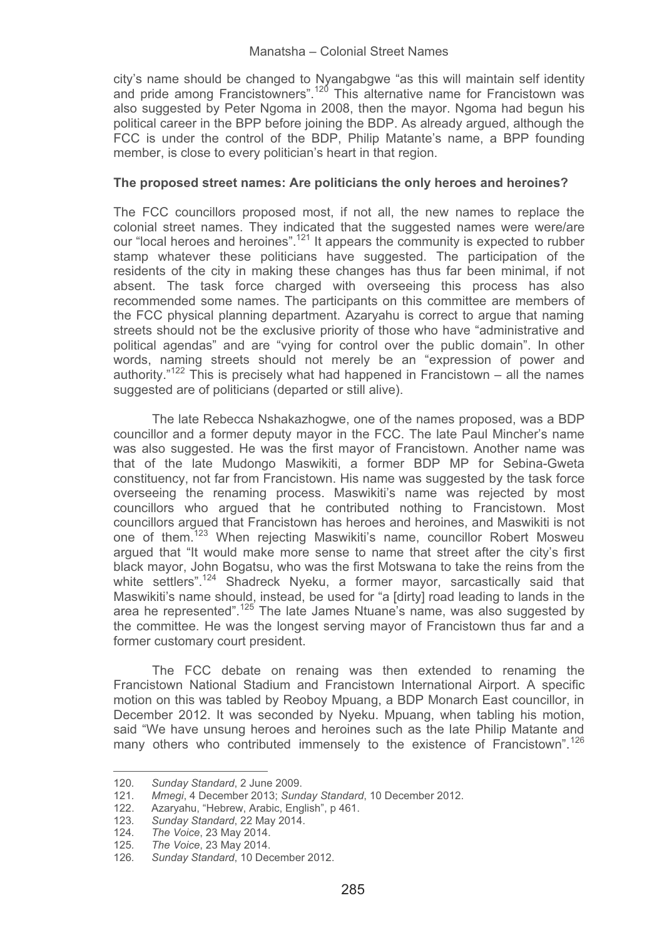city's name should be changed to Nyangabgwe "as this will maintain self identity and pride among Francistowners".120 This alternative name for Francistown was also suggested by Peter Ngoma in 2008, then the mayor. Ngoma had begun his political career in the BPP before joining the BDP. As already argued, although the FCC is under the control of the BDP, Philip Matante's name, a BPP founding member, is close to every politician's heart in that region.

### **The proposed street names: Are politicians the only heroes and heroines?**

The FCC councillors proposed most, if not all, the new names to replace the colonial street names. They indicated that the suggested names were were/are our "local heroes and heroines".121 It appears the community is expected to rubber stamp whatever these politicians have suggested. The participation of the residents of the city in making these changes has thus far been minimal, if not absent. The task force charged with overseeing this process has also recommended some names. The participants on this committee are members of the FCC physical planning department. Azaryahu is correct to argue that naming streets should not be the exclusive priority of those who have "administrative and political agendas" and are "vying for control over the public domain". In other words, naming streets should not merely be an "expression of power and authority." $122$  This is precisely what had happened in Francistown – all the names suggested are of politicians (departed or still alive).

The late Rebecca Nshakazhogwe, one of the names proposed, was a BDP councillor and a former deputy mayor in the FCC. The late Paul Mincher's name was also suggested. He was the first mayor of Francistown. Another name was that of the late Mudongo Maswikiti, a former BDP MP for Sebina-Gweta constituency, not far from Francistown. His name was suggested by the task force overseeing the renaming process. Maswikiti's name was rejected by most councillors who argued that he contributed nothing to Francistown. Most councillors argued that Francistown has heroes and heroines, and Maswikiti is not one of them.<sup>123</sup> When rejecting Maswikiti's name, councillor Robert Mosweu argued that "It would make more sense to name that street after the city's first black mayor, John Bogatsu, who was the first Motswana to take the reins from the white settlers".<sup>124</sup> Shadreck Nyeku, a former mayor, sarcastically said that Maswikiti's name should, instead, be used for "a [dirty] road leading to lands in the area he represented".<sup>125</sup> The late James Ntuane's name, was also suggested by the committee. He was the longest serving mayor of Francistown thus far and a former customary court president.

The FCC debate on renaing was then extended to renaming the Francistown National Stadium and Francistown International Airport. A specific motion on this was tabled by Reoboy Mpuang, a BDP Monarch East councillor, in December 2012. It was seconded by Nyeku. Mpuang, when tabling his motion, said "We have unsung heroes and heroines such as the late Philip Matante and many others who contributed immensely to the existence of Francistown".<sup>126</sup>

------------------

-------------------------------

<sup>-</sup>---------120*. Sunday Standard*, 2 June 2009.

<sup>121</sup>*. Mmegi*, 4 December 2013; *Sunday Standard*, 10 December 2012.

<sup>122.</sup> Azaryahu, "Hebrew, Arabic, English", p 461.

<sup>123</sup>*. Sunday Standard*, 22 May 2014.

<sup>124</sup>*. The Voice*, 23 May 2014.

<sup>125</sup>*. The Voice*, 23 May 2014.

<sup>126</sup>*. Sunday Standard*, 10 December 2012.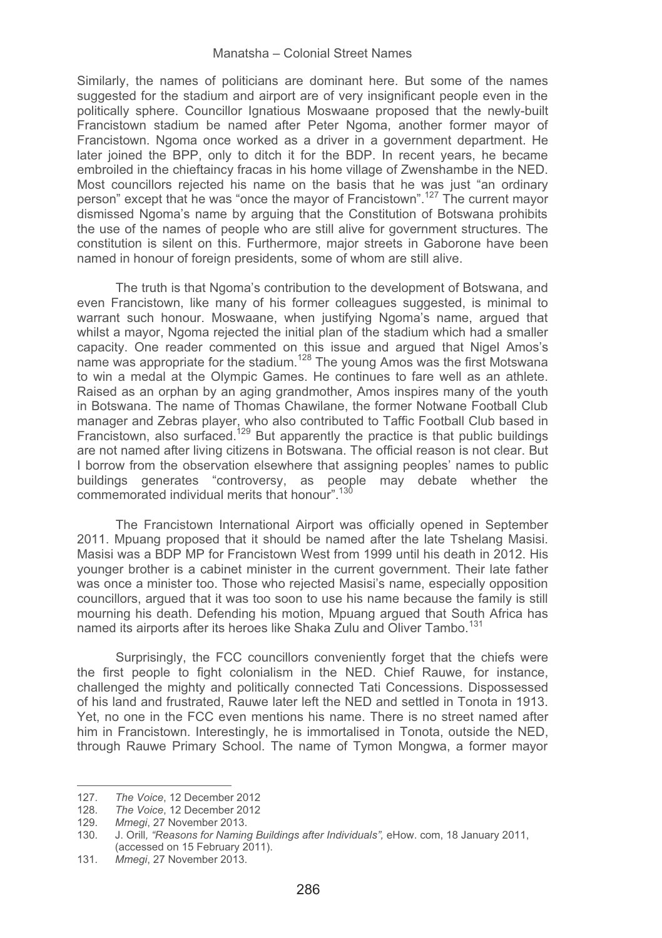Similarly, the names of politicians are dominant here. But some of the names suggested for the stadium and airport are of very insignificant people even in the politically sphere. Councillor Ignatious Moswaane proposed that the newly-built Francistown stadium be named after Peter Ngoma, another former mayor of Francistown. Ngoma once worked as a driver in a government department. He later joined the BPP, only to ditch it for the BDP. In recent years, he became embroiled in the chieftaincy fracas in his home village of Zwenshambe in the NED. Most councillors rejected his name on the basis that he was just "an ordinary person" except that he was "once the mayor of Francistown".127 The current mayor dismissed Ngoma's name by arguing that the Constitution of Botswana prohibits the use of the names of people who are still alive for government structures. The constitution is silent on this. Furthermore, major streets in Gaborone have been named in honour of foreign presidents, some of whom are still alive.

The truth is that Ngoma's contribution to the development of Botswana, and even Francistown, like many of his former colleagues suggested, is minimal to warrant such honour. Moswaane, when justifying Ngoma's name, argued that whilst a mayor, Ngoma rejected the initial plan of the stadium which had a smaller capacity. One reader commented on this issue and argued that Nigel Amos's name was appropriate for the stadium.<sup>128</sup> The young Amos was the first Motswana to win a medal at the Olympic Games. He continues to fare well as an athlete. Raised as an orphan by an aging grandmother, Amos inspires many of the youth in Botswana. The name of Thomas Chawilane, the former Notwane Football Club manager and Zebras player, who also contributed to Taffic Football Club based in Francistown, also surfaced.<sup>129</sup> But apparently the practice is that public buildings are not named after living citizens in Botswana. The official reason is not clear. But I borrow from the observation elsewhere that assigning peoples' names to public buildings generates "controversy, as people may debate whether the commemorated individual merits that honour".130

The Francistown International Airport was officially opened in September 2011. Mpuang proposed that it should be named after the late Tshelang Masisi. Masisi was a BDP MP for Francistown West from 1999 until his death in 2012. His younger brother is a cabinet minister in the current government. Their late father was once a minister too. Those who rejected Masisi's name, especially opposition councillors, argued that it was too soon to use his name because the family is still mourning his death. Defending his motion, Mpuang argued that South Africa has named its airports after its heroes like Shaka Zulu and Oliver Tambo.<sup>131</sup>

Surprisingly, the FCC councillors conveniently forget that the chiefs were the first people to fight colonialism in the NED. Chief Rauwe, for instance, challenged the mighty and politically connected Tati Concessions. Dispossessed of his land and frustrated, Rauwe later left the NED and settled in Tonota in 1913. Yet, no one in the FCC even mentions his name. There is no street named after him in Francistown. Interestingly, he is immortalised in Tonota, outside the NED, through Rauwe Primary School. The name of Tymon Mongwa, a former mayor

--------------------

------------------------------

<sup>-</sup>--------127*. The Voice*, 12 December 2012

<sup>128</sup>*. The Voice*, 12 December 2012

Mmegi, 27 November 2013.

<sup>130</sup>*.* J. Orill*, "Reasons for Naming Buildings after Individuals",* eHow. com, 18 January 2011, (accessed on 15 February 2011).

<sup>131</sup>*. Mmegi*, 27 November 2013.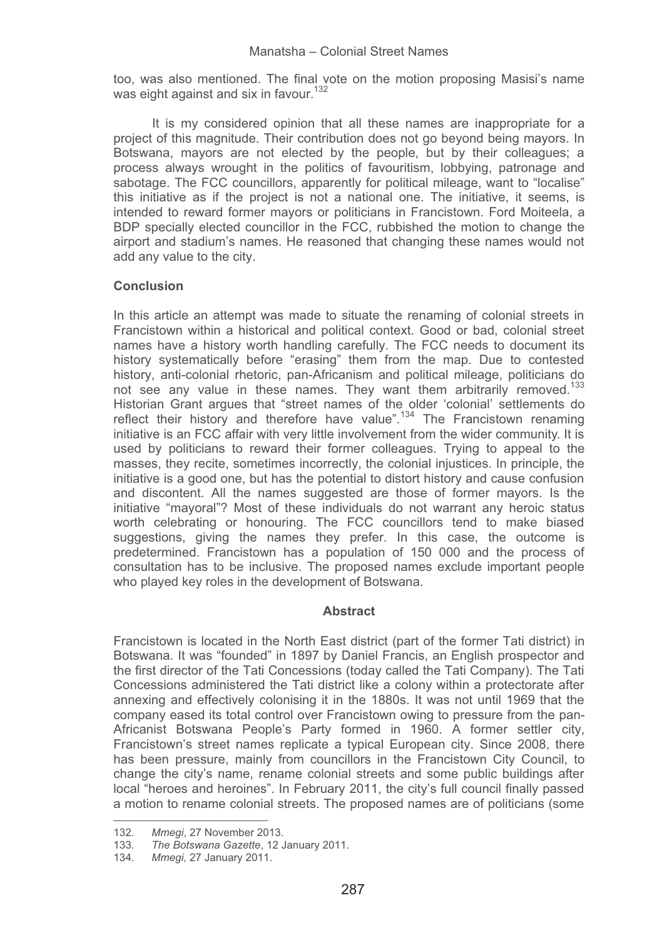too, was also mentioned. The final vote on the motion proposing Masisi's name was eight against and six in favour.<sup>132</sup>

It is my considered opinion that all these names are inappropriate for a project of this magnitude. Their contribution does not go beyond being mayors. In Botswana, mayors are not elected by the people, but by their colleagues; a process always wrought in the politics of favouritism, lobbying, patronage and sabotage. The FCC councillors, apparently for political mileage, want to "localise" this initiative as if the project is not a national one. The initiative, it seems, is intended to reward former mayors or politicians in Francistown. Ford Moiteela, a BDP specially elected councillor in the FCC, rubbished the motion to change the airport and stadium's names. He reasoned that changing these names would not add any value to the city.

# **Conclusion**

In this article an attempt was made to situate the renaming of colonial streets in Francistown within a historical and political context. Good or bad, colonial street names have a history worth handling carefully. The FCC needs to document its history systematically before "erasing" them from the map. Due to contested history, anti-colonial rhetoric, pan-Africanism and political mileage, politicians do not see any value in these names. They want them arbitrarily removed.<sup>133</sup> Historian Grant argues that "street names of the older 'colonial' settlements do reflect their history and therefore have value".<sup>134</sup> The Francistown renaming initiative is an FCC affair with very little involvement from the wider community. It is used by politicians to reward their former colleagues. Trying to appeal to the masses, they recite, sometimes incorrectly, the colonial injustices. In principle, the initiative is a good one, but has the potential to distort history and cause confusion and discontent. All the names suggested are those of former mayors. Is the initiative "mayoral"? Most of these individuals do not warrant any heroic status worth celebrating or honouring. The FCC councillors tend to make biased suggestions, giving the names they prefer. In this case, the outcome is predetermined. Francistown has a population of 150 000 and the process of consultation has to be inclusive. The proposed names exclude important people who played key roles in the development of Botswana.

### **Abstract**

Francistown is located in the North East district (part of the former Tati district) in Botswana. It was "founded" in 1897 by Daniel Francis, an English prospector and the first director of the Tati Concessions (today called the Tati Company). The Tati Concessions administered the Tati district like a colony within a protectorate after annexing and effectively colonising it in the 1880s. It was not until 1969 that the company eased its total control over Francistown owing to pressure from the pan-Africanist Botswana People's Party formed in 1960. A former settler city, Francistown's street names replicate a typical European city. Since 2008, there has been pressure, mainly from councillors in the Francistown City Council, to change the city's name, rename colonial streets and some public buildings after local "heroes and heroines". In February 2011, the city's full council finally passed a motion to rename colonial streets. The proposed names are of politicians (some

------

---------------------------- -----------

<sup>-</sup>--------132*. Mmegi*, 27 November 2013.

<sup>-</sup>----133*. The Botswana Gazette*, 12 January 2011.

<sup>134</sup>*. Mmegi,* 27 January 2011.